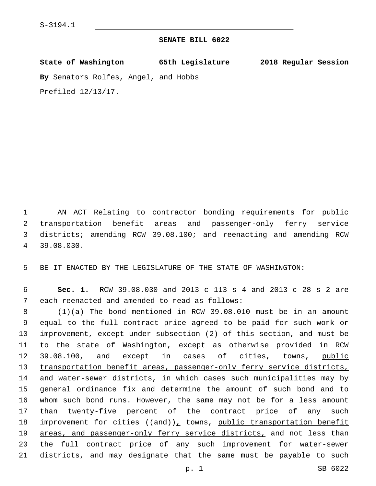## **SENATE BILL 6022**

**State of Washington 65th Legislature 2018 Regular Session**

**By** Senators Rolfes, Angel, and Hobbs

Prefiled 12/13/17.

 AN ACT Relating to contractor bonding requirements for public transportation benefit areas and passenger-only ferry service districts; amending RCW 39.08.100; and reenacting and amending RCW 39.08.030.4

5 BE IT ENACTED BY THE LEGISLATURE OF THE STATE OF WASHINGTON:

6 **Sec. 1.** RCW 39.08.030 and 2013 c 113 s 4 and 2013 c 28 s 2 are 7 each reenacted and amended to read as follows:

 (1)(a) The bond mentioned in RCW 39.08.010 must be in an amount equal to the full contract price agreed to be paid for such work or improvement, except under subsection (2) of this section, and must be to the state of Washington, except as otherwise provided in RCW 12 39.08.100, and except in cases of cities, towns, public 13 transportation benefit areas, passenger-only ferry service districts, and water-sewer districts, in which cases such municipalities may by general ordinance fix and determine the amount of such bond and to whom such bond runs. However, the same may not be for a less amount than twenty-five percent of the contract price of any such 18 improvement for cities  $((and))_L$  towns, public transportation benefit 19 areas, and passenger-only ferry service districts, and not less than the full contract price of any such improvement for water-sewer districts, and may designate that the same must be payable to such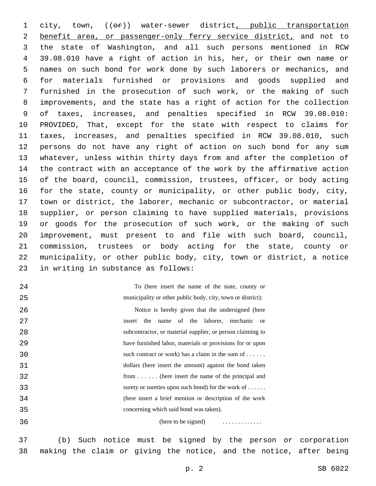1 city, town, (( $\Theta$ )) water-sewer district, public transportation 2 benefit area, or passenger-only ferry service district, and not to the state of Washington, and all such persons mentioned in RCW 39.08.010 have a right of action in his, her, or their own name or names on such bond for work done by such laborers or mechanics, and for materials furnished or provisions and goods supplied and furnished in the prosecution of such work, or the making of such improvements, and the state has a right of action for the collection of taxes, increases, and penalties specified in RCW 39.08.010: PROVIDED, That, except for the state with respect to claims for taxes, increases, and penalties specified in RCW 39.08.010, such persons do not have any right of action on such bond for any sum whatever, unless within thirty days from and after the completion of the contract with an acceptance of the work by the affirmative action of the board, council, commission, trustees, officer, or body acting for the state, county or municipality, or other public body, city, town or district, the laborer, mechanic or subcontractor, or material supplier, or person claiming to have supplied materials, provisions or goods for the prosecution of such work, or the making of such improvement, must present to and file with such board, council, commission, trustees or body acting for the state, county or municipality, or other public body, city, town or district, a notice 23 in writing in substance as follows:

 

To (here insert the name of the state, county or municipality or other public body, city, town or district):

 Notice is hereby given that the undersigned (here insert the name of the laborer, mechanic or subcontractor, or material supplier, or person claiming to have furnished labor, materials or provisions for or upon such contract or work) has a claim in the sum of . . . . . . dollars (here insert the amount) against the bond taken from . . . . . . (here insert the name of the principal and surety or sureties upon such bond) for the work of . . . . . . (here insert a brief mention or description of the work concerning which said bond was taken).

(here to be signed) . . . . . . . . . . . . .

 (b) Such notice must be signed by the person or corporation making the claim or giving the notice, and the notice, after being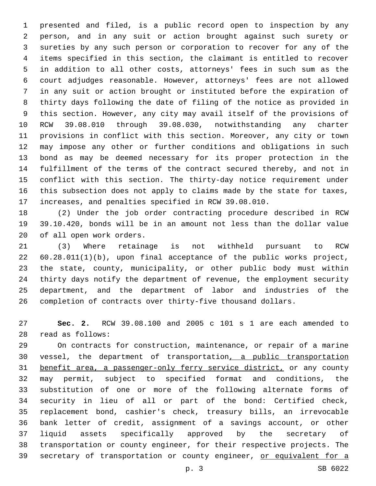presented and filed, is a public record open to inspection by any person, and in any suit or action brought against such surety or sureties by any such person or corporation to recover for any of the items specified in this section, the claimant is entitled to recover in addition to all other costs, attorneys' fees in such sum as the court adjudges reasonable. However, attorneys' fees are not allowed in any suit or action brought or instituted before the expiration of thirty days following the date of filing of the notice as provided in this section. However, any city may avail itself of the provisions of RCW 39.08.010 through 39.08.030, notwithstanding any charter provisions in conflict with this section. Moreover, any city or town may impose any other or further conditions and obligations in such bond as may be deemed necessary for its proper protection in the fulfillment of the terms of the contract secured thereby, and not in conflict with this section. The thirty-day notice requirement under this subsection does not apply to claims made by the state for taxes, increases, and penalties specified in RCW 39.08.010.

 (2) Under the job order contracting procedure described in RCW 39.10.420, bonds will be in an amount not less than the dollar value 20 of all open work orders.

 (3) Where retainage is not withheld pursuant to RCW 60.28.011(1)(b), upon final acceptance of the public works project, the state, county, municipality, or other public body must within thirty days notify the department of revenue, the employment security department, and the department of labor and industries of the completion of contracts over thirty-five thousand dollars.

 **Sec. 2.** RCW 39.08.100 and 2005 c 101 s 1 are each amended to read as follows:28

 On contracts for construction, maintenance, or repair of a marine vessel, the department of transportation, a public transportation benefit area, a passenger-only ferry service district, or any county may permit, subject to specified format and conditions, the substitution of one or more of the following alternate forms of security in lieu of all or part of the bond: Certified check, replacement bond, cashier's check, treasury bills, an irrevocable bank letter of credit, assignment of a savings account, or other liquid assets specifically approved by the secretary of transportation or county engineer, for their respective projects. The 39 secretary of transportation or county engineer, or equivalent for a